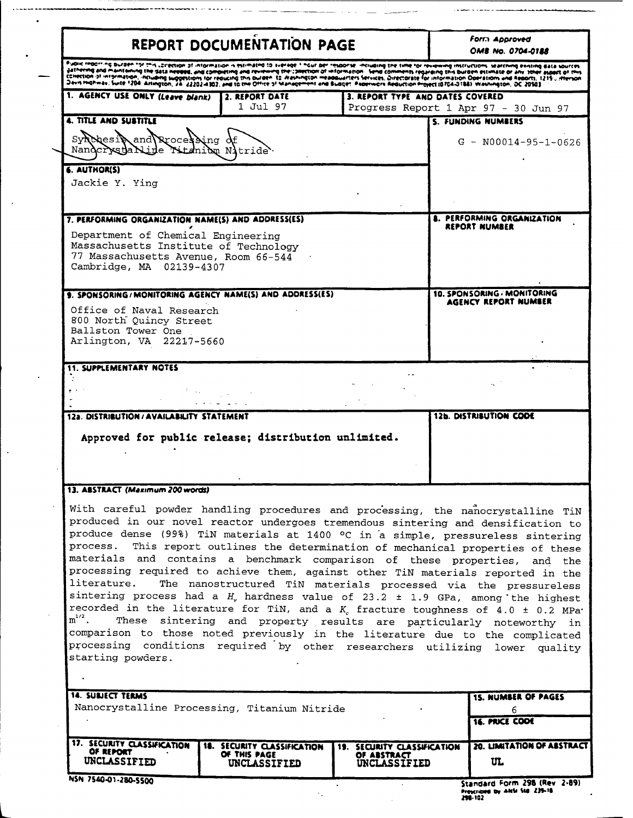|                                                                                                                                                                  | <b>REPORT DOCUMENTATION PAGE</b>                     |                                       | Form Approved<br><b>OMB No. 0704-0188</b>                                                                                                                                                                                                                                                                                                                                                                                                                                                                                                                                                                                                                                                                                                                                                                                                                                                                                                                                                                                                          |
|------------------------------------------------------------------------------------------------------------------------------------------------------------------|------------------------------------------------------|---------------------------------------|----------------------------------------------------------------------------------------------------------------------------------------------------------------------------------------------------------------------------------------------------------------------------------------------------------------------------------------------------------------------------------------------------------------------------------------------------------------------------------------------------------------------------------------------------------------------------------------------------------------------------------------------------------------------------------------------------------------------------------------------------------------------------------------------------------------------------------------------------------------------------------------------------------------------------------------------------------------------------------------------------------------------------------------------------|
|                                                                                                                                                                  |                                                      |                                       | phak reaching auraen tot this corection of information is estimated to siering their or than the formal the time for revening instructions. Warching existing east sources<br>jathering and maintening the Sata needed, and completing and reviewing the committion of information. Send comments regarding this burden estimate or any struct aspect of this<br>Conection of information, including suggestions for reducing this burden. In expansion measuraries services, Directorate for information Doeration and Resorts, 1219. Herson<br>Devisimativat, Suite 1204. Anington, 24. 22202-4302, and to the Office of Management and Budget. Paperwork Reduction Project (0704-0184). Washington, DC 20503.                                                                                                                                                                                                                                                                                                                                   |
| 1. AGENCY USE ONLY (Leave blank)                                                                                                                                 | 2. REPORT DATE<br>1 Jul 97                           |                                       | 3. REPORT TYPE AND DATES COVERED<br>Progress Report 1 Apr 97 - 30 Jun 97                                                                                                                                                                                                                                                                                                                                                                                                                                                                                                                                                                                                                                                                                                                                                                                                                                                                                                                                                                           |
| <b>4. TITLE AND SUBTITLE</b>                                                                                                                                     |                                                      |                                       | S. FUNDING NUMBERS                                                                                                                                                                                                                                                                                                                                                                                                                                                                                                                                                                                                                                                                                                                                                                                                                                                                                                                                                                                                                                 |
| synchesis and Rrocessing of<br>Nandcrystanide Titaniden Nitride.                                                                                                 |                                                      |                                       | $G - N00014 - 95 - 1 - 0626$                                                                                                                                                                                                                                                                                                                                                                                                                                                                                                                                                                                                                                                                                                                                                                                                                                                                                                                                                                                                                       |
| <b>6. AUTHOR(S)</b><br>Jackie Y. Ying                                                                                                                            |                                                      |                                       |                                                                                                                                                                                                                                                                                                                                                                                                                                                                                                                                                                                                                                                                                                                                                                                                                                                                                                                                                                                                                                                    |
| 7. PERFORMING ORGANIZATION NAME(S) AND ADDRESS(ES)                                                                                                               |                                                      |                                       | <b>A. PERFORMING ORGANIZATION</b><br>REPORT NUMBER                                                                                                                                                                                                                                                                                                                                                                                                                                                                                                                                                                                                                                                                                                                                                                                                                                                                                                                                                                                                 |
| Department of Chemical Engineering<br>Massachusetts Institute of Technology<br>77 Massachusetts Avenue, Room 66-544<br>Cambridge, MA 02139-4307                  |                                                      |                                       |                                                                                                                                                                                                                                                                                                                                                                                                                                                                                                                                                                                                                                                                                                                                                                                                                                                                                                                                                                                                                                                    |
| 9. SPONSORING/MONITORING AGENCY NAME(S) AND ADDRESS(ES)<br>Office of Naval Research<br>800 North Quincy Street<br>Ballston Tower One<br>Arlington, VA 22217-5660 |                                                      |                                       | 10. SPONSORING - MONITORING<br>AGENCY REPORT NUMBER                                                                                                                                                                                                                                                                                                                                                                                                                                                                                                                                                                                                                                                                                                                                                                                                                                                                                                                                                                                                |
|                                                                                                                                                                  |                                                      |                                       |                                                                                                                                                                                                                                                                                                                                                                                                                                                                                                                                                                                                                                                                                                                                                                                                                                                                                                                                                                                                                                                    |
| <b>11. SUPPLEMENTARY NOTES</b>                                                                                                                                   |                                                      |                                       |                                                                                                                                                                                                                                                                                                                                                                                                                                                                                                                                                                                                                                                                                                                                                                                                                                                                                                                                                                                                                                                    |
|                                                                                                                                                                  |                                                      |                                       |                                                                                                                                                                                                                                                                                                                                                                                                                                                                                                                                                                                                                                                                                                                                                                                                                                                                                                                                                                                                                                                    |
|                                                                                                                                                                  |                                                      |                                       |                                                                                                                                                                                                                                                                                                                                                                                                                                                                                                                                                                                                                                                                                                                                                                                                                                                                                                                                                                                                                                                    |
| 12a. DISTRIBUTION / AVAILABILITY STATEMENT                                                                                                                       |                                                      |                                       | 12b. DISTRIBUTION CODE                                                                                                                                                                                                                                                                                                                                                                                                                                                                                                                                                                                                                                                                                                                                                                                                                                                                                                                                                                                                                             |
|                                                                                                                                                                  | Approved for public release; distribution unlimited. |                                       |                                                                                                                                                                                                                                                                                                                                                                                                                                                                                                                                                                                                                                                                                                                                                                                                                                                                                                                                                                                                                                                    |
| 13. ASSTRACT (Maximum 200 words)                                                                                                                                 |                                                      |                                       |                                                                                                                                                                                                                                                                                                                                                                                                                                                                                                                                                                                                                                                                                                                                                                                                                                                                                                                                                                                                                                                    |
|                                                                                                                                                                  |                                                      |                                       |                                                                                                                                                                                                                                                                                                                                                                                                                                                                                                                                                                                                                                                                                                                                                                                                                                                                                                                                                                                                                                                    |
|                                                                                                                                                                  |                                                      |                                       |                                                                                                                                                                                                                                                                                                                                                                                                                                                                                                                                                                                                                                                                                                                                                                                                                                                                                                                                                                                                                                                    |
|                                                                                                                                                                  |                                                      |                                       |                                                                                                                                                                                                                                                                                                                                                                                                                                                                                                                                                                                                                                                                                                                                                                                                                                                                                                                                                                                                                                                    |
|                                                                                                                                                                  | Nanocrystalline Processing, Titanium Nitride         |                                       | <b>15. NUMBER OF PAGES</b><br>6<br><b>16. PRICE COOE</b>                                                                                                                                                                                                                                                                                                                                                                                                                                                                                                                                                                                                                                                                                                                                                                                                                                                                                                                                                                                           |
| process.<br>literature.<br>$m^{1/2}$ .<br>starting powders.<br><b>14. SUBJECT TERMS</b><br>17. SECURITY CLASSIFICATION<br>OF REPORT                              | <b>18. SECURITY CLASSIFICATION</b>                   | <b>SECURITY CLASSIFICATION</b><br>19. | With careful powder handling procedures and processing, the nanocrystalline TiN<br>produced in our novel reactor undergoes tremendous sintering and densification to<br>produce dense (99%) TiN materials at 1400 °C in a simple, pressureless sintering<br>This report outlines the determination of mechanical properties of these<br>materials and contains a benchmark comparison of these properties, and the<br>processing required to achieve them, against other TiN materials reported in the<br>The nanostructured TiN materials processed via the pressureless<br>sintering process had a $H_v$ hardness value of 23.2 $\pm$ 1.9 GPa, among the highest<br>recorded in the literature for TiN, and a $K_c$ fracture toughness of 4.0 ± 0.2 MPa <sup>.</sup><br>These sintering and property results are particularly noteworthy in<br>comparison to those noted previously in the literature due to the complicated<br>processing conditions required by other researchers utilizing lower quality<br><b>20. LIMITATION OF ASSTRACT</b> |

| Standard Form 230 they 2.0      |  |  |
|---------------------------------|--|--|
| Prescribed by ANSI Std. 239-18. |  |  |
| 298-102                         |  |  |
|                                 |  |  |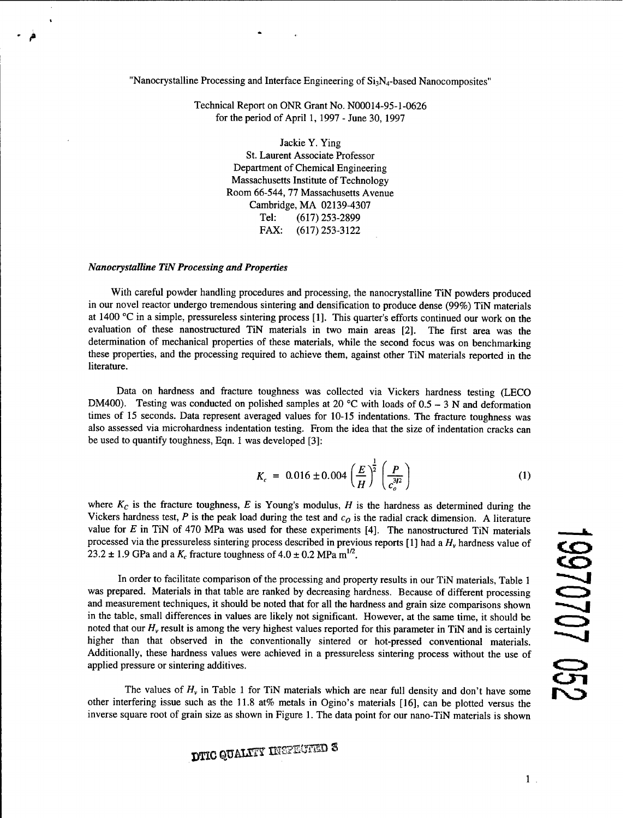"Nanocrystalline Processing and Interface Engineering of  $Si<sub>3</sub>N<sub>4</sub>$ -based Nanocomposites"

Technical Report on ONR Grant No. N00014-95-1-0626 for the period of April 1, 1997 - June 30, 1997

> Jackie Y. Ying St. Laurent Associate Professor Department of Chemical Engineering Massachusetts Institute of Technology Room 66-544, 77 Massachusetts Avenue Cambridge, MA 02139-4307 Tel: (617) 253-2899 FAX: (617)253-3122

## *Nanocrystalline TiN Processing and Properties*

With careful powder handling procedures and processing, the nanocrystalline TiN powders produced in our novel reactor undergo tremendous sintering and densification to produce dense (99%) TiN materials at 1400 °C in a simple, pressureless sintering process [1]. This quarter's efforts continued our work on the evaluation of these nanostructured TiN materials in two main areas [2]. The first area was the determination of mechanical properties of these materials, while the second focus was on benchmarking these properties, and the processing required to achieve them, against other TiN materials reported in the literature.

Data on hardness and fracture toughness was collected via Vickers hardness testing (LECO DM400). Testing was conducted on polished samples at 20 °C with loads of  $0.5 - 3$  N and deformation times of 15 seconds. Data represent averaged values for 10-15 indentations. The fracture toughness was also assessed via microhardness indentation testing. From the idea that the size of indentation cracks can be used to quantify toughness, Eqn. <sup>1</sup> was developed [3]:

$$
K_c = 0.016 \pm 0.004 \left(\frac{E}{H}\right)^{\frac{1}{2}} \left(\frac{P}{c_o^{3/2}}\right)
$$
 (1)

where  $K_c$  is the fracture toughness,  $E$  is Young's modulus,  $H$  is the hardness as determined during the Vickers hardness test, P is the peak load during the test and  $c<sub>O</sub>$  is the radial crack dimension. A literature value for *E* in TiN of 470 MPa was used for these experiments [4]. The nanostructured TiN materials processed via the pressureless sintering process described in previous reports [1] had a *H<sup>v</sup>* hardness value of 23.2  $\pm$  1.9 GPa and a  $K_c$  fracture toughness of  $4.0 \pm 0.2$  MPa  $\text{m}^{1/2}$ .

In order to facilitate comparison of the processing and property results in our TiN materials, Table <sup>1</sup> was prepared. Materials in that table are ranked by decreasing hardness. Because of different processing and measurement techniques, it should be noted that for all the hardness and grain size comparisons shown in the table, small differences in values are likely not significant. However, at the same time, it should be noted that our *H<sup>v</sup>* result is among the very highest values reported for this parameter in TiN and is certainly higher than that observed in the conventionally sintered or hot-pressed conventional materials. Additionally, these hardness values were achieved in a pressureless sintering process without the use of applied pressure or sintering additives. The values of  $H_v$  in Table 1 for TiN materials which are near full density and don't have some of  $H_v$  in Table 1 for TiM materials in that table are ranked by decreasing hardness. Because of different processing and ord

other interfering issue such as the 11.8 at% metals in Ogino's materials [16], can be plotted versus the inverse square root of grain size as shown in Figure 1. The data point for our nano-TiN materials is shown

**DTIC QUALMY INSPECTED S**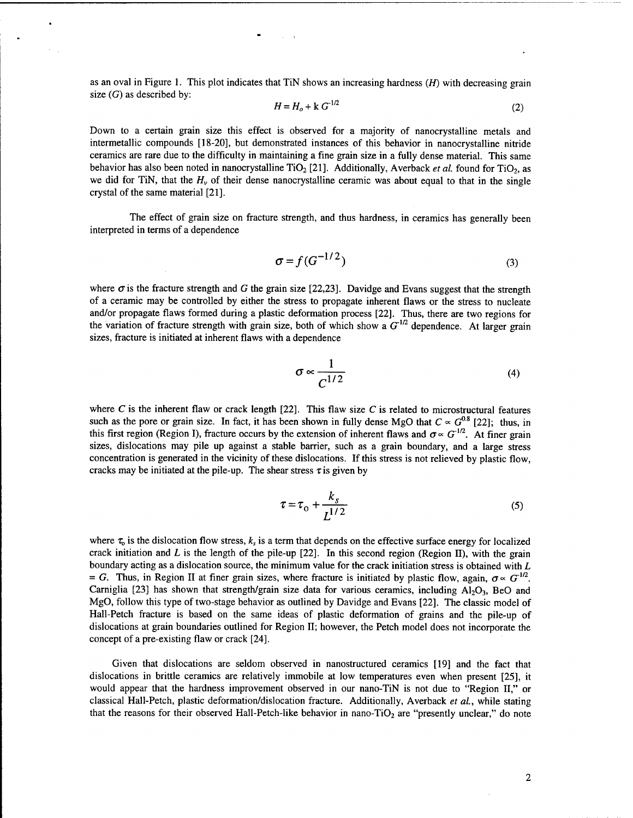as an oval in Figure 1. This plot indicates that TiN shows an increasing hardness *(H)* with decreasing grain size  $(G)$  as described by:

$$
H = H_o + k G^{1/2}
$$
 (2)

Down to a certain grain size this effect is observed for a majority of nanocrystalline metals and intermetallic compounds [18-20], but demonstrated instances of this behavior in nanocrystalline nitride ceramics are rare due to the difficulty in maintaining a fine grain size in a fully dense material. This same behavior has also been noted in nanocrystalline TiO<sub>2</sub> [21]. Additionally, Averback *et al.* found for TiO<sub>2</sub>, as we did for TiN, that the  $H<sub>v</sub>$  of their dense nanocrystalline ceramic was about equal to that in the single crystal of the same material [21].

The effect of grain size on fracture strength, and thus hardness, in ceramics has generally been interpreted in terms of a dependence

$$
\sigma = f(G^{-1/2})\tag{3}
$$

where  $\sigma$  is the fracture strength and *G* the grain size [22,23]. Davidge and Evans suggest that the strength of a ceramic may be controlled by either the stress to propagate inherent flaws or the stress to nucleate and/or propagate flaws formed during a plastic deformation process [22]. Thus, there are two regions for the variation of fracture strength with grain size, both of which show a  $G^{1/2}$  dependence. At larger grain sizes, fracture is initiated at inherent flaws with a dependence

$$
\sigma \propto \frac{1}{C^{1/2}}\tag{4}
$$

where  $C$  is the inherent flaw or crack length [22]. This flaw size  $C$  is related to microstructural features such as the pore or grain size. In fact, it has been shown in fully dense MgO that  $C \propto G^{0.8}$  [22]; thus, in this first region (Region I), fracture occurs by the extension of inherent flaws and  $\sigma \propto G^{1/2}$ . At finer grain sizes, dislocations may pile up against a stable barrier, such as a grain boundary, and a large stress concentration is generated in the vicinity of these dislocations. If this stress is not relieved by plastic flow, cracks may be initiated at the pile-up. The shear stress  $\tau$  is given by

$$
\tau = \tau_0 + \frac{k_s}{L^{1/2}}
$$
 (5)

where  $\tau_0$  is the dislocation flow stress,  $k_s$  is a term that depends on the effective surface energy for localized crack initiation and *L* is the length of the pile-up [22]. In this second region (Region II), with the grain boundary acting as a dislocation source, the minimum value for the crack initiation stress is obtained with *L*  $= G$ . Thus, in Region II at finer grain sizes, where fracture is initiated by plastic flow, again,  $\sigma \propto G^{-1/2}$ . Carniglia [23] has shown that strength/grain size data for various ceramics, including  $A_1O_3$ , BeO and MgO, follow this type of two-stage behavior as outlined by Davidge and Evans [22]. The classic model of Hall-Petch fracture is based on the same ideas of plastic deformation of grains and the pile-up of dislocations at grain boundaries outlined for Region II; however, the Petch model does not incorporate the concept of a pre-existing flaw or crack [24].

Given that dislocations are seldom observed in nanostructured ceramics [19] and the fact that dislocations in brittle ceramics are relatively immobile at low temperatures even when present [25], it would appear that the hardness improvement observed in our nano-TiN is not due to "Region II," or classical Hall-Petch, plastic deformation/dislocation fracture. Additionally, Averback *et al,* while stating that the reasons for their observed Hall-Petch-like behavior in nano-TiO<sub>2</sub> are "presently unclear," do note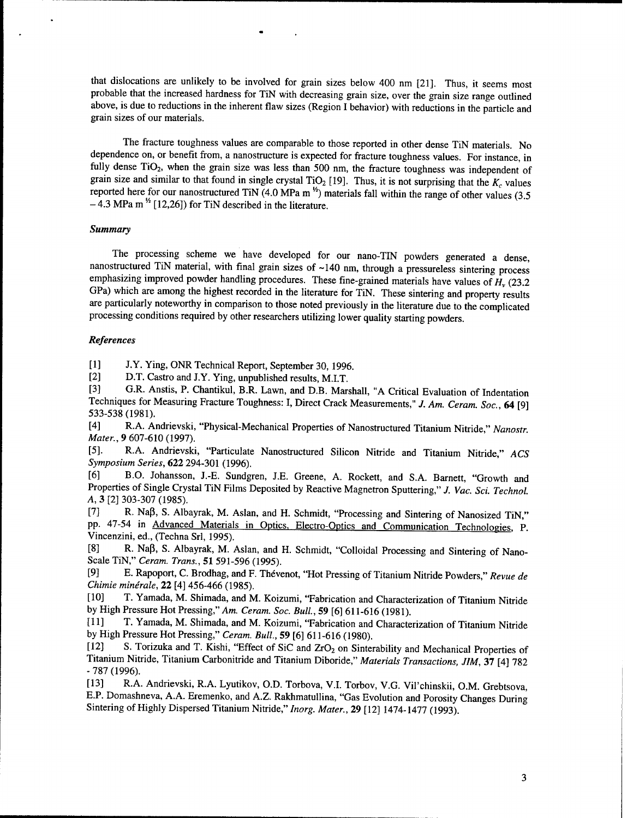that dislocations are unlikely to be involved for grain sizes below 400 nm [21]. Thus, it seems most probable that the increased hardness for TiN with decreasing grain size, over the grain size range outlined above, is due to reductions in the inherent flaw sizes (Region I behavior) with reductions in the particle and grain sizes of our materials.

The fracture toughness values are comparable to those reported in other dense TiN materials. No dependence on, or benefit from, a nanostructure is expected for fracture toughness values. For instance, in fully dense TiO<sub>2</sub>, when the grain size was less than 500 nm, the fracture toughness was independent of grain size and similar to that found in single crystal TiO<sub>2</sub> [19]. Thus, it is not surprising that the  $K_c$  values reported here for our nanostructured TiN  $(4.0 \text{ MPa m}^2)$  materials fall within the range of other values  $(3.5 \text{ mm})$  $-$  4.3 MPa m  $^{1/2}$  [12,26]) for TiN described in the literature.

## *Summary*

The processing scheme we have developed for our nano-TIN powders generated a dense, nanostructured TiN material, with final grain sizes of ~140 nm, through a pressureless sintering process emphasizing improved powder handling procedures. These fine-grained materials have values of *H<sup>v</sup>* (23.2 GPa) which are among the highest recorded in the literature for TiN. These sintering and property results are particularly noteworthy in comparison to those noted previously in the literature due to the complicated processing conditions required by other researchers utilizing lower quality starting powders.

## *References*

[1] J.Y. Ying, ONR Technical Report, September 30, 1996.

[2] D.T. Castro and J.Y. Ying, unpublished results, M.I.T.<br>[3] G.R. Anstis, P. Chantikul, B.R. Lawn, and D.B. Mar

[3] G.R. Anstis, P. Chantikul, B.R. Lawn, and D.B. Marshall, "A Critical Evaluation of Indentation Techniques for Measuring Fracture Toughness: I, Direct Crack Measurements," J. Am. Ceram. Soc., 64 [9] 533-538 (1981).

[4] R.A. Andrievski, "Physical-Mechanical Properties of Nanostructured Titanium Nitride," *Nanostr Mater.,* 9 607-610 (1997).

[5]. R.A. Andrievski, "Particulate Nanostructured Silicon Nitride and Titanium Nitride," *ACS Symposium Series,* **622** 294-301 (1996).

[6] B.O. Johansson, J.-E. Sundgren, J.E. Greene, A. Rockett, and S.A. Barnett, "Growth and Properties of Single Crystal TiN Films Deposited by Reactive Magnetron Sputtering," *J. Vac. Sei. Technol A,* 3 [2] 303-307 (1985).

[7] R. Naß, S. Albayrak, M. Asian, and H. Schmidt, "Processing and Sintering of Nanosized TiN," pp. 47-54 in Advanced Materials in Optics. Electro-Optics and Communication Technologies. P. Vincenzini, ed., (Techna Sri, 1995).

[8] R. Naß, S. Albayrak, M. Asian, and H. Schmidt, "Colloidal Processing and Sintering of Nano-Scale TiN," *Ceram. Trans.,* 51 591-596 (1995).

[9] E. Rapoport, C. Brodhag, and F. Thevenot, "Hot Pressing of Titanium Nitride Powders," *Revue de Chimie minerale,* **22** [4] 456-466 (1985).

[10] T. Yamada, M. Shimada, and M. Koizumi, "Fabrication and Characterization of Titanium Nitride by High Pressure Hot Pressing," *Am. Ceram. Soc. Bull,* 59 [6] 611-616 (1981).

[11] T. Yamada, M. Shimada, and M. Koizumi, "Fabrication and Characterization of Titanium Nitride by High Pressure Hot Pressing," *Ceram. Bull,* 59 [6] 611-616 (1980).

[12] S. Torizuka and T. Kishi, "Effect of SiC and ZrO<sub>2</sub> on Sinterability and Mechanical Properties of Titanium Nitride, Titanium Carbonitride and Titanium Diboride," *Materials Transactions, JIM,* 37 [4] 782 - 787 (1996).

[13] R.A. Andrievski, R.A. Lyutikov, O.D. Torbova, V.l. Torbov, V.G. Vil'chinskii, O.M. Grebtsova, E.P. Domashneva, A.A. Eremenko, and A.Z. Rakhmatullina, "Gas Evolution and Porosity Changes During Sintering of Highly Dispersed Titanium Nitride," *Inorg. Mater.,* 29 [12] 1474-1477 (1993).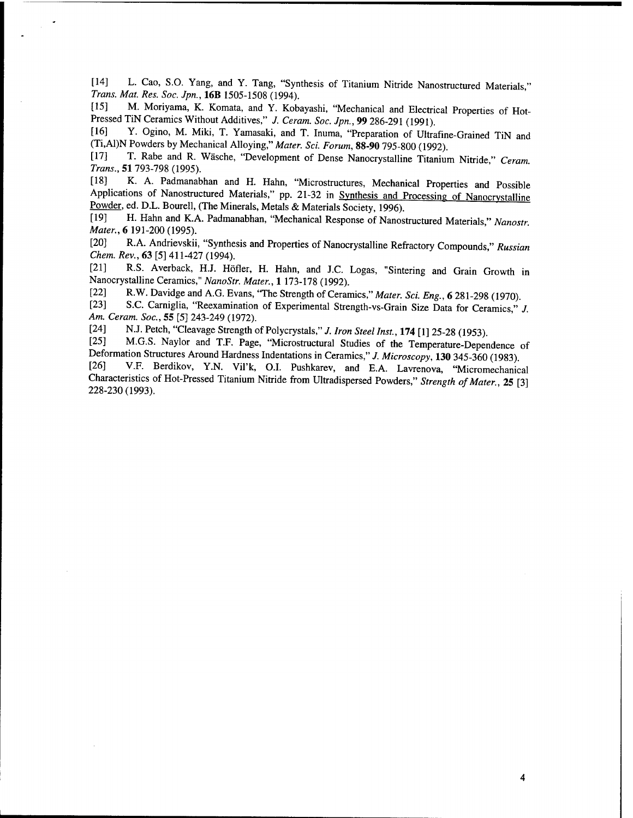[14] L. Cao, S.O. Yang, and Y. Tang, "Synthesis of Titanium Nitride Nanostructured Materials," *Trans. Mat. Res. Soc. Jpn.,* **16B** 1505-1508 (1994).

[15] M. Moriyama, K. Komata, and Y. Kobayashi, "Mechanical and Electrical Properties of Hot-Pressed TiN Ceramics Without Additives," *J. Ceram. Soc. Jpn.,* **99** 286-291 (1991).

Y. Ogino, M. Miki, T. Yamasaki, and T. Inuma, "Preparation of Ultrafine-Grained TiN and (Ti,Al)N Powders by Mechanical Alloying," *Mater. Sei. Forum,* **88-90** 795-800 (1992).

[17] T. Rabe and R. Wäsche, "Development of Dense Nanocrystalline Titanium Nitride" *Ceram Trans.,* 51 793-798 (1995).

[18] K. A. Padmanabhan and H. Hahn, "Microstructures, Mechanical Properties and Possible Applications of Nanostructured Materials," pp. 21-32 in Synthesis and Processing of Nanocrystalline Powder, ed. D.L. Bourell, (The Minerals, Metals & Materials Society, 1996).

[19] H. Hahn and K.A. Padmanabhan, "Mechanical Response of Nanostructured Materials " *Nanostr Mater.,* 6 191-200 (1995).

[20] R.A. Andrievskii, "Synthesis and Properties of Nanocrystalline Refractory Compounds " *Russian Chem. Rev.*, **63** [5] 411 -427 (1994).

[21] R.S. Averback, HJ. Höfler, H. Hahn, and J.C. Logas, "Sintering and Grain Growth in Nanocrystalline Ceramics," *NanoStr. Mater.,* 1 173-178 (1992).

[22] R.W. Davidge and A.G. Evans, 'The Strength of Ceramics," *Mater. Sei. Eng.,* 6 281 -298 (1970).

S.C. Carniglia, "Reexamination of Experimental Strength-vs-Grain Size Data for Ceramics," *J. Am. Ceram. Soc.,* 55 [5] 243-249 (1972).

[24] N.J. Petch, "Cleavage Strength of Polycrystals," *J. Iron Steel Inst.,* **174** [ <sup>1</sup> ] 25-28 (1953).

M.G.S. Naylor and T.F. Page, "Microstructural Studies of the Temperature-Dependence of Deformation Structures Around Hardness Indentations in Ceramics," *J. Microscopy,* **130** 345-360 (1983).

V.F. Berdikov, Y.N. Vil'k, O.I. Pushkarev, and E.A. Lavrenova, "Micromechanical Characteristics of Hot-Pressed Titanium Nitride from Ultradispersed Powders," Strength of Mater., 25 [3] 228-230(1993). "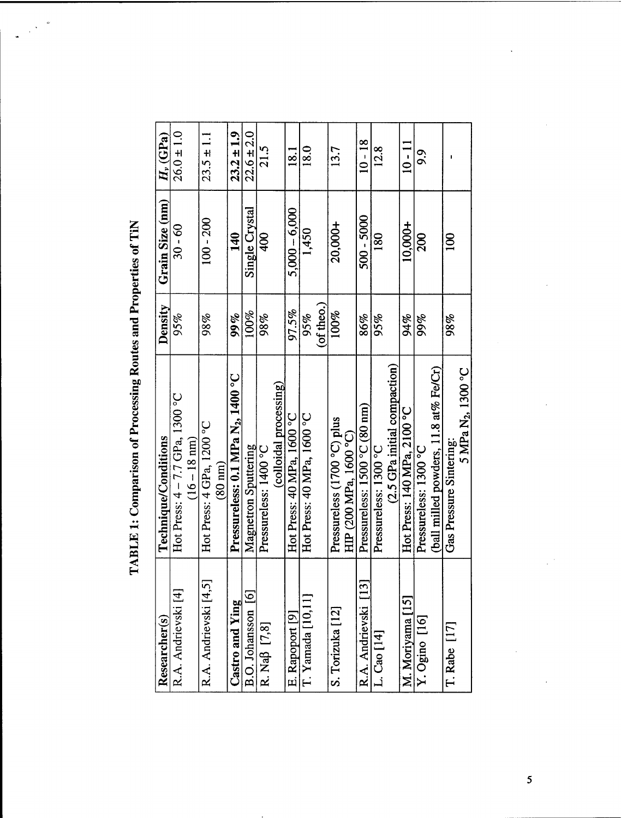| ļ                                                    |
|------------------------------------------------------|
|                                                      |
|                                                      |
| ₹                                                    |
| ֧֧֦֧֢֧֧ׅ֧ׅ֧֧ׅ֧ׅ֧֚֚֚֚֚֚֚֚֚֚֚֚֚֚֚֚֝֝֜֟֓֝֬֜֜֓֜֜֓֜֓<br>Ì |
|                                                      |
|                                                      |
|                                                      |

| Researcher(s)             | Technique/Conditions                                           | Density           | Grain Size (nm)  | $H_\nu$ (GPa)  |
|---------------------------|----------------------------------------------------------------|-------------------|------------------|----------------|
| R.A. Andrievski [4]       | Hot Press: 4 - 7.7 GPa, 1300 °C                                | 95%               | $30 - 60$        | $26.0 \pm 1.0$ |
|                           | $(16 - 18)$ nm)                                                |                   |                  |                |
| R.A. Andrievski [4,5      | Hot Press: 4 GPa, 1200 °C<br>$(80 \text{ nm})$                 | 98%               | $100 - 200$      | $23.5 \pm 1.1$ |
| Castro and Ying           | Pressureless: 0.1 MPa N <sub>2</sub> , 1400 °C                 | 99%               | 140              | $23.2 \pm 1.9$ |
| B.O. Johansson [6]        | Magnetron Sputtering                                           | 100%              | Single Crystal   | $22.6 \pm 2.0$ |
| R. Naß [7,8]              | Pressureless: 1400 °C                                          | 98%               | 400              | 21.5           |
|                           | (colloidal processing)                                         |                   |                  |                |
| E. Rapoport [9]           | Hot Press: 40 MPa, 1600 °C                                     | 97.5%             | $5,000 - 6,000$  | 18.1           |
| T. Yamada [10,11          | Hot Press: 40 MPa, 1600 °C                                     | (of theo.)<br>95% | 1,450            | 18.0           |
|                           |                                                                |                   |                  |                |
| S. Torizuka [12]          | Pressureless (1700 °C) plus<br>HIP (200 MPa, 1600 °C)          | 100%              | 20,000+          | 13.7           |
| $[13]$<br>R.A. Andrievski | Pressureless: $1500 °C (80 nm)$                                | 86%               | $500 - 5000$     | $10 - 18$      |
| L. Cao [14]               | (2.5 GPa initial compaction)<br>Pressureless: 1300 °C          | 95%               | <b>180</b>       | 12.8           |
| M. Moriyama [15]          | Hot Press: 140 MPa, 2100 °C                                    | 94%               | 10,000+          | $10 - 11$      |
| Y. Ogino [16]             | (ball milled powders, 11.8 at% Fe/Cr)<br>Pressureless: 1300 °C | 99%               | 200              | 9.9            |
| $T.$ Rabe $[17]$          | Gas Pressure Sintering                                         | 98%               | $\overline{100}$ |                |
|                           | 5 MPa N <sub>2</sub> , 1300 °C                                 |                   |                  |                |
|                           |                                                                |                   |                  |                |
|                           |                                                                |                   |                  |                |
|                           |                                                                |                   |                  |                |
|                           |                                                                |                   |                  |                |
|                           |                                                                |                   |                  |                |
|                           |                                                                |                   |                  |                |
|                           |                                                                |                   |                  |                |

 $5<sup>7</sup>$ 

 $\label{eq:2.1} \frac{1}{\sqrt{2}}\int_{\mathbb{R}^3}\frac{1}{\sqrt{2}}\left(\frac{1}{\sqrt{2}}\right)^2\frac{1}{\sqrt{2}}\left(\frac{1}{\sqrt{2}}\right)^2\frac{1}{\sqrt{2}}\left(\frac{1}{\sqrt{2}}\right)^2\frac{1}{\sqrt{2}}\left(\frac{1}{\sqrt{2}}\right)^2\frac{1}{\sqrt{2}}\left(\frac{1}{\sqrt{2}}\right)^2\frac{1}{\sqrt{2}}\frac{1}{\sqrt{2}}\frac{1}{\sqrt{2}}\frac{1}{\sqrt{2}}\frac{1}{\sqrt{2}}\frac{1}{\sqrt{2}}$ 

 $\label{eq:2.1} \frac{1}{\sqrt{2\pi}}\int_{\mathbb{R}^3}\frac{1}{\sqrt{2\pi}}\left(\frac{1}{\sqrt{2\pi}}\right)^2\frac{1}{\sqrt{2\pi}}\int_{\mathbb{R}^3}\frac{1}{\sqrt{2\pi}}\frac{1}{\sqrt{2\pi}}\frac{1}{\sqrt{2\pi}}\frac{1}{\sqrt{2\pi}}\frac{1}{\sqrt{2\pi}}\frac{1}{\sqrt{2\pi}}\frac{1}{\sqrt{2\pi}}\frac{1}{\sqrt{2\pi}}\frac{1}{\sqrt{2\pi}}\frac{1}{\sqrt{2\pi}}\frac{1}{\sqrt{2\pi}}\frac{$